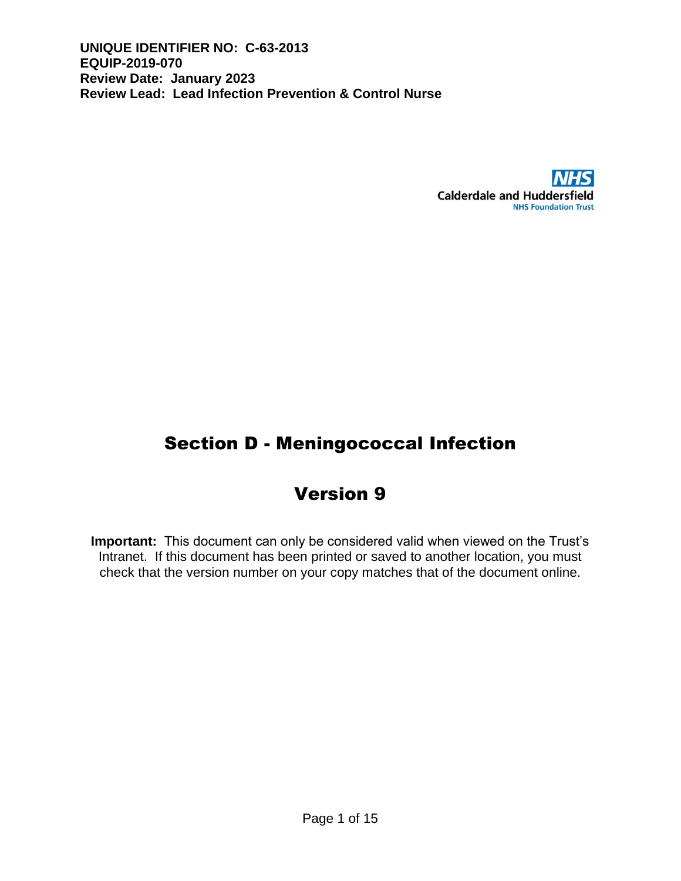

# Section D - Meningococcal Infection

# Version 9

**Important:** This document can only be considered valid when viewed on the Trust's Intranet. If this document has been printed or saved to another location, you must check that the version number on your copy matches that of the document online.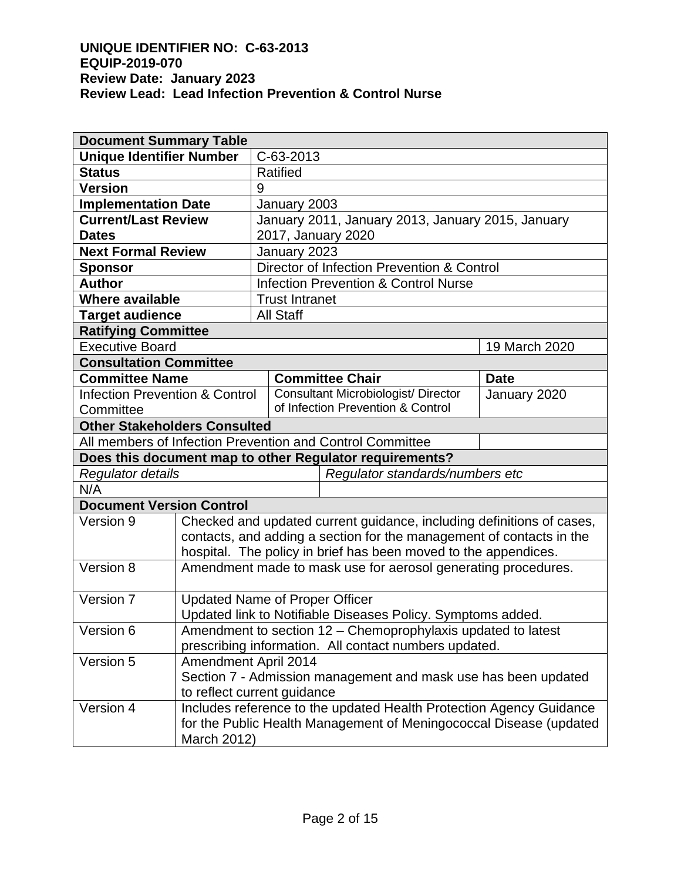| <b>Document Summary Table</b>                        |                                                                       |                                                 |                                            |                                                           |               |  |  |
|------------------------------------------------------|-----------------------------------------------------------------------|-------------------------------------------------|--------------------------------------------|-----------------------------------------------------------|---------------|--|--|
| <b>Unique Identifier Number</b>                      |                                                                       | C-63-2013                                       |                                            |                                                           |               |  |  |
| <b>Status</b>                                        |                                                                       | <b>Ratified</b>                                 |                                            |                                                           |               |  |  |
| <b>Version</b>                                       |                                                                       | 9                                               |                                            |                                                           |               |  |  |
| <b>Implementation Date</b>                           |                                                                       |                                                 | January 2003                               |                                                           |               |  |  |
| <b>Current/Last Review</b>                           |                                                                       |                                                 |                                            | January 2011, January 2013, January 2015, January         |               |  |  |
| <b>Dates</b>                                         |                                                                       | 2017, January 2020                              |                                            |                                                           |               |  |  |
| <b>Next Formal Review</b>                            |                                                                       | January 2023                                    |                                            |                                                           |               |  |  |
| <b>Sponsor</b>                                       |                                                                       |                                                 | Director of Infection Prevention & Control |                                                           |               |  |  |
| <b>Author</b>                                        |                                                                       | <b>Infection Prevention &amp; Control Nurse</b> |                                            |                                                           |               |  |  |
| <b>Where available</b>                               |                                                                       | <b>Trust Intranet</b>                           |                                            |                                                           |               |  |  |
| <b>Target audience</b>                               |                                                                       |                                                 | <b>All Staff</b>                           |                                                           |               |  |  |
| <b>Ratifying Committee</b>                           |                                                                       |                                                 |                                            |                                                           |               |  |  |
| <b>Executive Board</b>                               |                                                                       |                                                 |                                            |                                                           | 19 March 2020 |  |  |
| <b>Consultation Committee</b>                        |                                                                       |                                                 |                                            |                                                           |               |  |  |
| <b>Committee Name</b>                                |                                                                       |                                                 |                                            | <b>Committee Chair</b>                                    | <b>Date</b>   |  |  |
| <b>Infection Prevention &amp; Control</b>            |                                                                       |                                                 |                                            | <b>Consultant Microbiologist/ Director</b>                | January 2020  |  |  |
| Committee                                            |                                                                       |                                                 |                                            | of Infection Prevention & Control                         |               |  |  |
| <b>Other Stakeholders Consulted</b>                  |                                                                       |                                                 |                                            |                                                           |               |  |  |
|                                                      |                                                                       |                                                 |                                            | All members of Infection Prevention and Control Committee |               |  |  |
|                                                      |                                                                       |                                                 |                                            | Does this document map to other Regulator requirements?   |               |  |  |
| Regulator standards/numbers etc<br>Regulator details |                                                                       |                                                 |                                            |                                                           |               |  |  |
| N/A                                                  |                                                                       |                                                 |                                            |                                                           |               |  |  |
| <b>Document Version Control</b>                      |                                                                       |                                                 |                                            |                                                           |               |  |  |
| Version 9                                            | Checked and updated current guidance, including definitions of cases, |                                                 |                                            |                                                           |               |  |  |
|                                                      | contacts, and adding a section for the management of contacts in the  |                                                 |                                            |                                                           |               |  |  |
|                                                      | hospital. The policy in brief has been moved to the appendices.       |                                                 |                                            |                                                           |               |  |  |
| Version 8                                            | Amendment made to mask use for aerosol generating procedures.         |                                                 |                                            |                                                           |               |  |  |
| Version 7                                            | <b>Updated Name of Proper Officer</b>                                 |                                                 |                                            |                                                           |               |  |  |
|                                                      | Updated link to Notifiable Diseases Policy. Symptoms added.           |                                                 |                                            |                                                           |               |  |  |
| Version 6                                            | Amendment to section 12 - Chemoprophylaxis updated to latest          |                                                 |                                            |                                                           |               |  |  |
|                                                      | prescribing information. All contact numbers updated.                 |                                                 |                                            |                                                           |               |  |  |
| Version 5                                            | Amendment April 2014                                                  |                                                 |                                            |                                                           |               |  |  |
|                                                      | Section 7 - Admission management and mask use has been updated        |                                                 |                                            |                                                           |               |  |  |
|                                                      | to reflect current guidance                                           |                                                 |                                            |                                                           |               |  |  |
| Version 4                                            | Includes reference to the updated Health Protection Agency Guidance   |                                                 |                                            |                                                           |               |  |  |
|                                                      | for the Public Health Management of Meningococcal Disease (updated    |                                                 |                                            |                                                           |               |  |  |
|                                                      | March 2012)                                                           |                                                 |                                            |                                                           |               |  |  |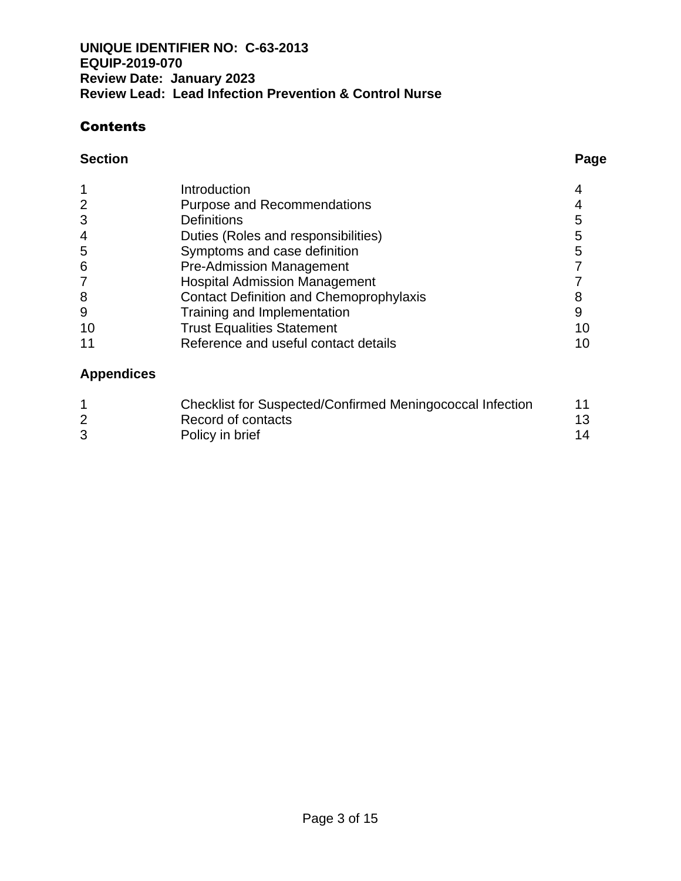## **Contents**

#### **Section Page**

|                | Introduction                                   |    |
|----------------|------------------------------------------------|----|
| $\overline{2}$ | <b>Purpose and Recommendations</b>             |    |
| 3              | <b>Definitions</b>                             | 5  |
| 4              | Duties (Roles and responsibilities)            | 5  |
| 5              | Symptoms and case definition                   | 5  |
| 6              | <b>Pre-Admission Management</b>                |    |
|                | <b>Hospital Admission Management</b>           |    |
| 8              | <b>Contact Definition and Chemoprophylaxis</b> |    |
| 9              | Training and Implementation                    | 9  |
| 10             | <b>Trust Equalities Statement</b>              | 10 |
|                | Reference and useful contact details           | 10 |

## **Appendices**

| Checklist for Suspected/Confirmed Meningococcal Infection | 11  |
|-----------------------------------------------------------|-----|
| Record of contacts                                        | 13. |
| Policy in brief                                           | 14  |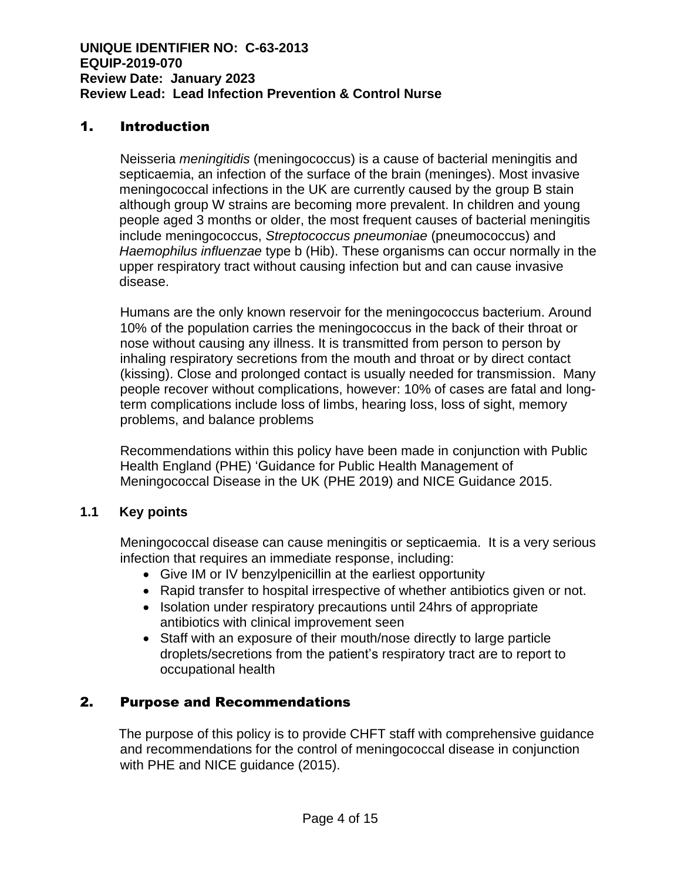## 1. Introduction

Neisseria *meningitidis* (meningococcus) is a cause of bacterial meningitis and septicaemia, an infection of the surface of the brain (meninges). Most invasive meningococcal infections in the UK are currently caused by the group B stain although group W strains are becoming more prevalent. In children and young people aged 3 months or older, the most frequent causes of bacterial meningitis include meningococcus, *Streptococcus pneumoniae* (pneumococcus) and *Haemophilus influenzae* type b (Hib). These organisms can occur normally in the upper respiratory tract without causing infection but and can cause invasive disease.

Humans are the only known reservoir for the meningococcus bacterium. Around 10% of the population carries the meningococcus in the back of their throat or nose without causing any illness. It is transmitted from person to person by inhaling respiratory secretions from the mouth and throat or by direct contact (kissing). Close and prolonged contact is usually needed for transmission. Many people recover without complications, however: 10% of cases are fatal and longterm complications include loss of limbs, hearing loss, loss of sight, memory problems, and balance problems

Recommendations within this policy have been made in conjunction with Public Health England (PHE) 'Guidance for Public Health Management of Meningococcal Disease in the UK (PHE 2019) and NICE Guidance 2015.

### **1.1 Key points**

Meningococcal disease can cause meningitis or septicaemia. It is a very serious infection that requires an immediate response, including:

- Give IM or IV benzylpenicillin at the earliest opportunity
- Rapid transfer to hospital irrespective of whether antibiotics given or not.
- Isolation under respiratory precautions until 24hrs of appropriate antibiotics with clinical improvement seen
- Staff with an exposure of their mouth/nose directly to large particle droplets/secretions from the patient's respiratory tract are to report to occupational health

## 2. Purpose and Recommendations

 The purpose of this policy is to provide CHFT staff with comprehensive guidance and recommendations for the control of meningococcal disease in conjunction with PHE and NICE guidance (2015).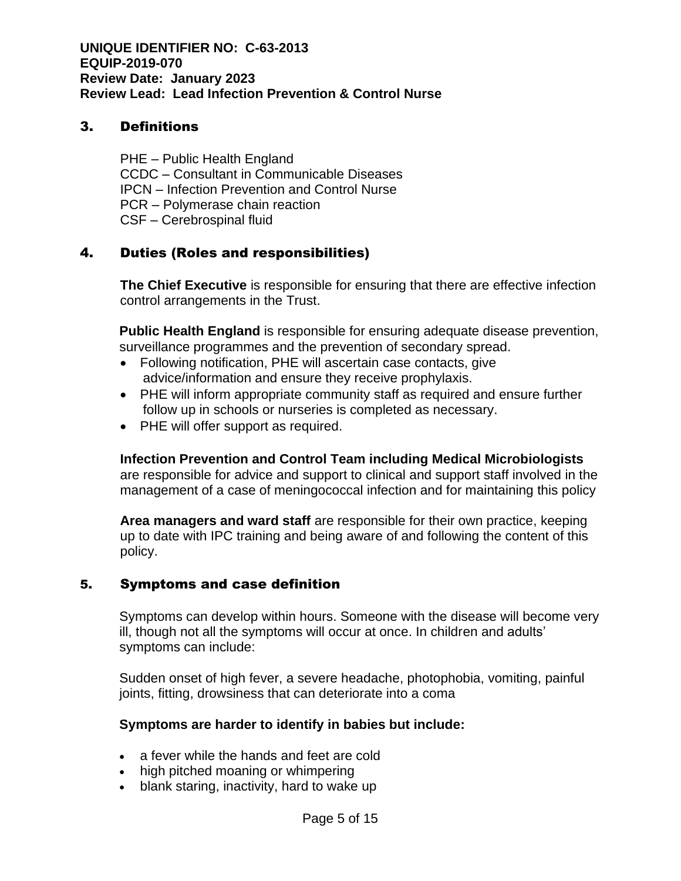### 3. Definitions

PHE – Public Health England CCDC – Consultant in Communicable Diseases IPCN – Infection Prevention and Control Nurse PCR – Polymerase chain reaction CSF – Cerebrospinal fluid

## 4. Duties (Roles and responsibilities)

**The Chief Executive** is responsible for ensuring that there are effective infection control arrangements in the Trust.

**Public Health England** is responsible for ensuring adequate disease prevention, surveillance programmes and the prevention of secondary spread.

- Following notification, PHE will ascertain case contacts, give advice/information and ensure they receive prophylaxis.
- PHE will inform appropriate community staff as required and ensure further follow up in schools or nurseries is completed as necessary.
- PHE will offer support as required.

**Infection Prevention and Control Team including Medical Microbiologists**  are responsible for advice and support to clinical and support staff involved in the management of a case of meningococcal infection and for maintaining this policy

**Area managers and ward staff** are responsible for their own practice, keeping up to date with IPC training and being aware of and following the content of this policy.

### 5. Symptoms and case definition

Symptoms can develop within hours. Someone with the disease will become very ill, though not all the symptoms will occur at once. In children and adults' symptoms can include:

Sudden onset of high fever, a severe headache, photophobia, vomiting, painful joints, fitting, drowsiness that can deteriorate into a coma

### **Symptoms are harder to identify in babies but include:**

- a fever while the hands and feet are cold
- high pitched moaning or whimpering
- blank staring, inactivity, hard to wake up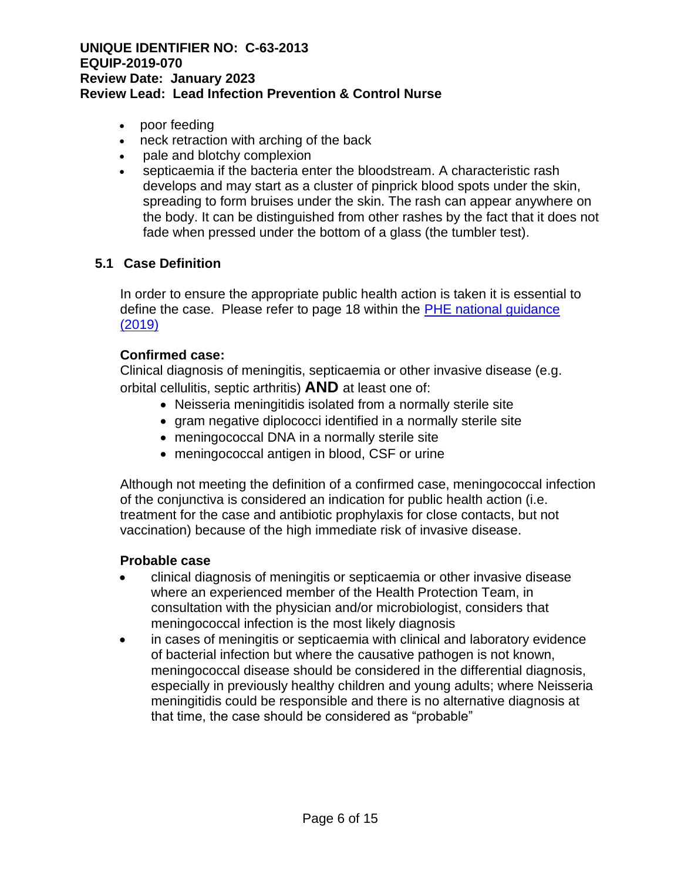- poor feeding
- neck retraction with arching of the back
- pale and blotchy complexion
- septicaemia if the bacteria enter the bloodstream. A characteristic rash develops and may start as a cluster of pinprick blood spots under the skin, spreading to form bruises under the skin. The rash can appear anywhere on the body. It can be distinguished from other rashes by the fact that it does not fade when pressed under the bottom of a glass (the tumbler test).

### **5.1 Case Definition**

In order to ensure the appropriate public health action is taken it is essential to define the case. Please refer to page 18 within the PHE national guidance [\(2019\)](https://assets.publishing.service.gov.uk/government/uploads/system/uploads/attachment_data/file/829326/PHE_meningo_disease_guideline.pdf)

#### **Confirmed case:**

Clinical diagnosis of meningitis, septicaemia or other invasive disease (e.g. orbital cellulitis, septic arthritis) **AND** at least one of:

- Neisseria meningitidis isolated from a normally sterile site
- gram negative diplococci identified in a normally sterile site
- meningococcal DNA in a normally sterile site
- meningococcal antigen in blood, CSF or urine

Although not meeting the definition of a confirmed case, meningococcal infection of the conjunctiva is considered an indication for public health action (i.e. treatment for the case and antibiotic prophylaxis for close contacts, but not vaccination) because of the high immediate risk of invasive disease.

#### **Probable case**

- clinical diagnosis of meningitis or septicaemia or other invasive disease where an experienced member of the Health Protection Team, in consultation with the physician and/or microbiologist, considers that meningococcal infection is the most likely diagnosis
- in cases of meningitis or septicaemia with clinical and laboratory evidence of bacterial infection but where the causative pathogen is not known, meningococcal disease should be considered in the differential diagnosis, especially in previously healthy children and young adults; where Neisseria meningitidis could be responsible and there is no alternative diagnosis at that time, the case should be considered as "probable"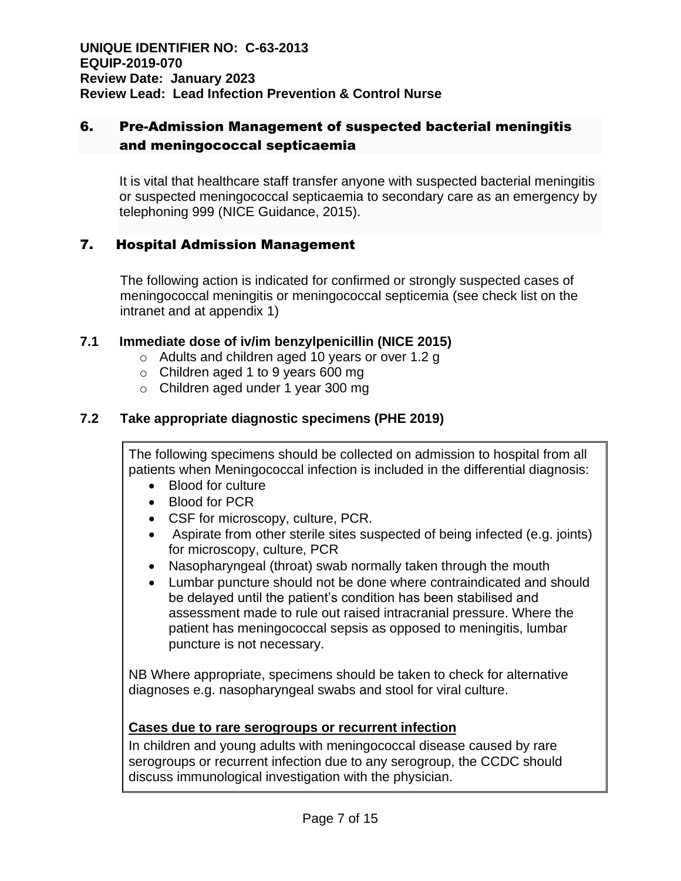## 6. Pre-Admission Management of suspected bacterial meningitis and meningococcal septicaemia

It is vital that healthcare staff transfer anyone with suspected bacterial meningitis or suspected meningococcal septicaemia to secondary care as an emergency by telephoning 999 (NICE Guidance, 2015).

## 7. Hospital Admission Management

The following action is indicated for confirmed or strongly suspected cases of meningococcal meningitis or meningococcal septicemia (see check list on the intranet and at appendix 1)

### **7.1 Immediate dose of iv/im benzylpenicillin (NICE 2015)**

- o Adults and children aged 10 years or over 1.2 g
- o Children aged 1 to 9 years 600 mg
- o Children aged under 1 year 300 mg

### **7.2 Take appropriate diagnostic specimens (PHE 2019)**

The following specimens should be collected on admission to hospital from all patients when Meningococcal infection is included in the differential diagnosis:

- Blood for culture
- Blood for PCR
- CSF for microscopy, culture, PCR.
- Aspirate from other sterile sites suspected of being infected (e.g. joints) for microscopy, culture, PCR
- Nasopharyngeal (throat) swab normally taken through the mouth
- Lumbar puncture should not be done where contraindicated and should be delayed until the patient's condition has been stabilised and assessment made to rule out raised intracranial pressure. Where the patient has meningococcal sepsis as opposed to meningitis, lumbar puncture is not necessary.

NB Where appropriate, specimens should be taken to check for alternative diagnoses e.g. nasopharyngeal swabs and stool for viral culture.

### **Cases due to rare serogroups or recurrent infection**

In children and young adults with meningococcal disease caused by rare serogroups or recurrent infection due to any serogroup, the CCDC should discuss immunological investigation with the physician.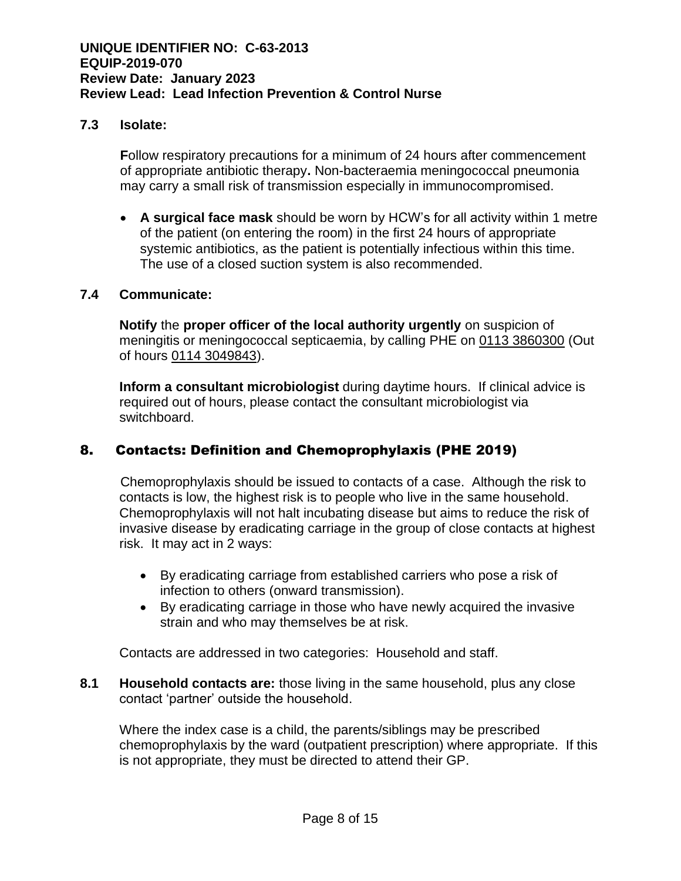#### **7.3 Isolate:**

**F**ollow respiratory precautions for a minimum of 24 hours after commencement of appropriate antibiotic therapy**.** Non-bacteraemia meningococcal pneumonia may carry a small risk of transmission especially in immunocompromised.

• **A surgical face mask** should be worn by HCW's for all activity within 1 metre of the patient (on entering the room) in the first 24 hours of appropriate systemic antibiotics, as the patient is potentially infectious within this time. The use of a closed suction system is also recommended.

#### **7.4 Communicate:**

**Notify** the **proper officer of the local authority urgently** on suspicion of meningitis or meningococcal septicaemia, by calling PHE on 0113 3860300 (Out of hours 0114 3049843).

**Inform a consultant microbiologist** during daytime hours. If clinical advice is required out of hours, please contact the consultant microbiologist via switchboard.

### 8. Contacts: Definition and Chemoprophylaxis (PHE 2019)

 Chemoprophylaxis should be issued to contacts of a case. Although the risk to contacts is low, the highest risk is to people who live in the same household. Chemoprophylaxis will not halt incubating disease but aims to reduce the risk of invasive disease by eradicating carriage in the group of close contacts at highest risk. It may act in 2 ways:

- By eradicating carriage from established carriers who pose a risk of infection to others (onward transmission).
- By eradicating carriage in those who have newly acquired the invasive strain and who may themselves be at risk.

Contacts are addressed in two categories: Household and staff.

**8.1 Household contacts are:** those living in the same household, plus any close contact 'partner' outside the household.

Where the index case is a child, the parents/siblings may be prescribed chemoprophylaxis by the ward (outpatient prescription) where appropriate. If this is not appropriate, they must be directed to attend their GP.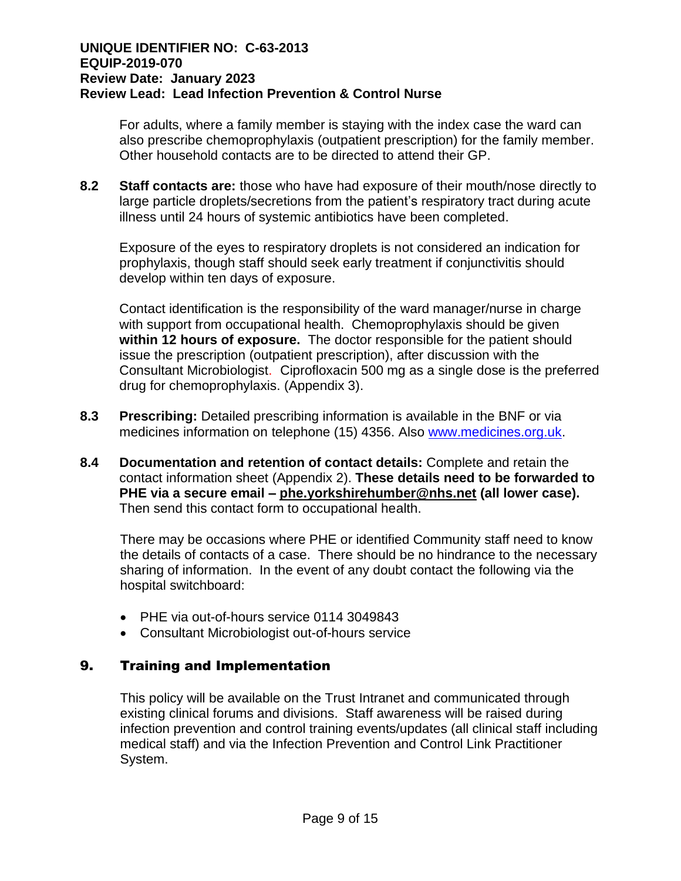For adults, where a family member is staying with the index case the ward can also prescribe chemoprophylaxis (outpatient prescription) for the family member. Other household contacts are to be directed to attend their GP.

**8.2 Staff contacts are:** those who have had exposure of their mouth/nose directly to large particle droplets/secretions from the patient's respiratory tract during acute illness until 24 hours of systemic antibiotics have been completed.

Exposure of the eyes to respiratory droplets is not considered an indication for prophylaxis, though staff should seek early treatment if conjunctivitis should develop within ten days of exposure.

Contact identification is the responsibility of the ward manager/nurse in charge with support from occupational health. Chemoprophylaxis should be given **within 12 hours of exposure.** The doctor responsible for the patient should issue the prescription (outpatient prescription), after discussion with the Consultant Microbiologist. Ciprofloxacin 500 mg as a single dose is the preferred drug for chemoprophylaxis. (Appendix 3).

- **8.3 Prescribing:** Detailed prescribing information is available in the BNF or via medicines information on telephone (15) 4356. Also [www.medicines.org.uk.](http://www.medicines.org.uk/)
- **8.4 Documentation and retention of contact details:** Complete and retain the contact information sheet (Appendix 2). **These details need to be forwarded to PHE via a secure email – [phe.yorkshirehumber@nhs.net](mailto:phe.yorkshirehumber@nhs.net) (all lower case).** Then send this contact form to occupational health.

There may be occasions where PHE or identified Community staff need to know the details of contacts of a case. There should be no hindrance to the necessary sharing of information. In the event of any doubt contact the following via the hospital switchboard:

- PHE via out-of-hours service 0114 3049843
- Consultant Microbiologist out-of-hours service

### 9. Training and Implementation

This policy will be available on the Trust Intranet and communicated through existing clinical forums and divisions. Staff awareness will be raised during infection prevention and control training events/updates (all clinical staff including medical staff) and via the Infection Prevention and Control Link Practitioner System.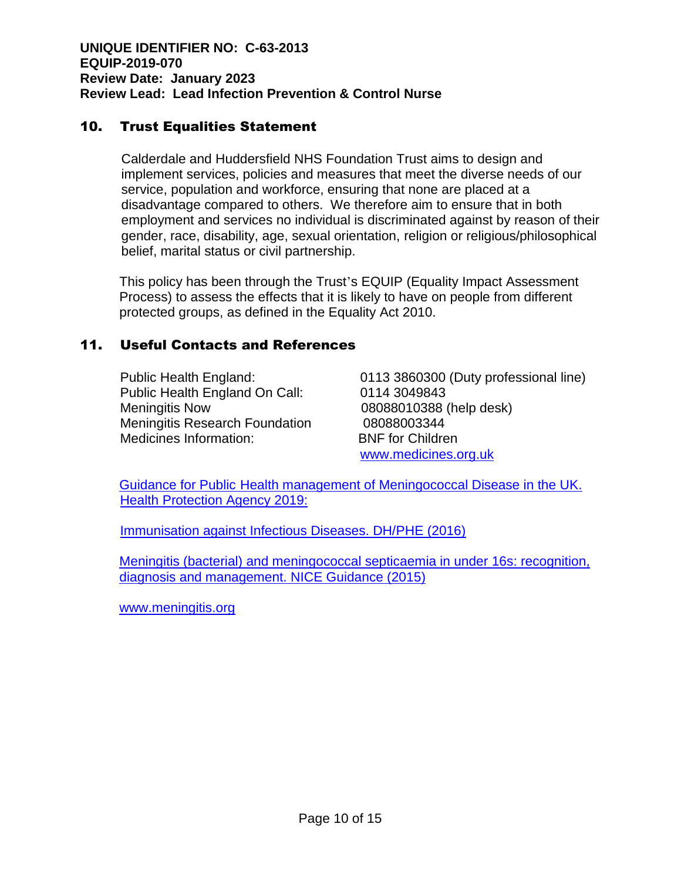## 10. Trust Equalities Statement

Calderdale and Huddersfield NHS Foundation Trust aims to design and implement services, policies and measures that meet the diverse needs of our service, population and workforce, ensuring that none are placed at a disadvantage compared to others. We therefore aim to ensure that in both employment and services no individual is discriminated against by reason of their gender, race, disability, age, sexual orientation, religion or religious/philosophical belief, marital status or civil partnership.

This policy has been through the Trust's EQUIP (Equality Impact Assessment Process) to assess the effects that it is likely to have on people from different protected groups, as defined in the Equality Act 2010.

### 11. Useful Contacts and References

Public Health England On Call: 0114 3049843 Meningitis Now 08088010388 (help desk) Meningitis Research Foundation 08088003344 Medicines Information: BNF for Children

Public Health England: 0113 3860300 (Duty professional line) [www.medicines.org.uk](http://www.medicines.org.uk/)

[Guidance for Public Health management of Meningococcal Disease in the UK.](https://assets.publishing.service.gov.uk/government/uploads/system/uploads/attachment_data/file/829326/PHE_meningo_disease_guideline.pdf)  [Health Protection Agency 2019:](https://assets.publishing.service.gov.uk/government/uploads/system/uploads/attachment_data/file/829326/PHE_meningo_disease_guideline.pdf)

[Immunisation against Infectious Diseases. DH/PHE \(2016\)](https://assets.publishing.service.gov.uk/government/uploads/system/uploads/attachment_data/file/554011/Green_Book_Chapter_22.pdf)

[Meningitis \(bacterial\) and meningococcal septicaemia in under 16s: recognition,](https://www.nice.org.uk/guidance/cg102)  [diagnosis and management. NICE Guidance \(2015\)](https://www.nice.org.uk/guidance/cg102)

[www.meningitis.org](http://www.meningitis.org/)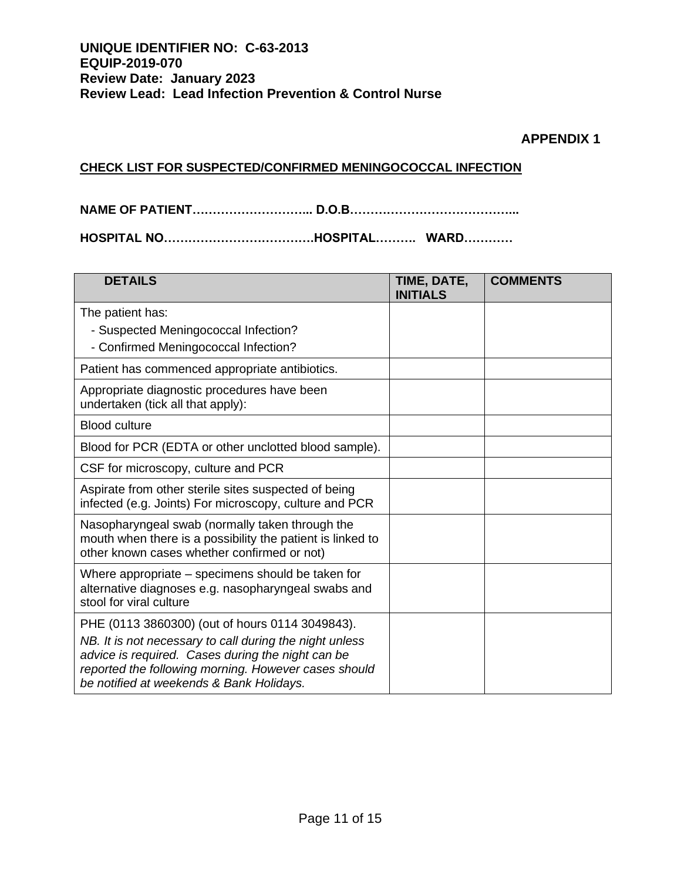#### **APPENDIX 1**

#### **CHECK LIST FOR SUSPECTED/CONFIRMED MENINGOCOCCAL INFECTION**

**NAME OF PATIENT………………………... D.O.B…………………………………...**

**HOSPITAL NO……………………………….HOSPITAL………. WARD…………**

| TIME, DATE,<br><b>INITIALS</b> | <b>COMMENTS</b> |
|--------------------------------|-----------------|
|                                |                 |
|                                |                 |
|                                |                 |
|                                |                 |
|                                |                 |
|                                |                 |
|                                |                 |
|                                |                 |
|                                |                 |
|                                |                 |
|                                |                 |
|                                |                 |
|                                |                 |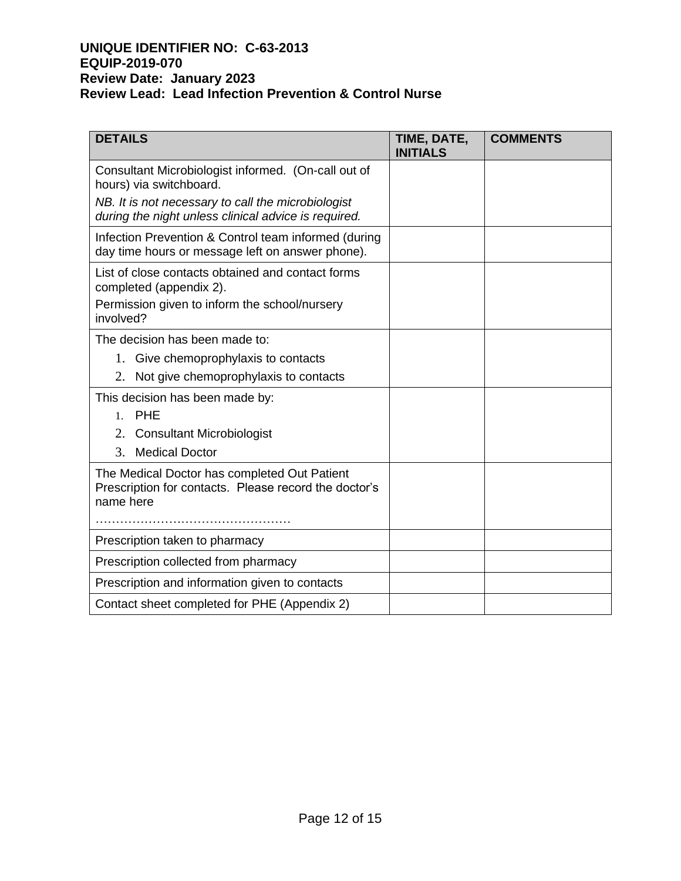| <b>DETAILS</b>                                                                                                     | TIME, DATE,<br><b>INITIALS</b> | <b>COMMENTS</b> |
|--------------------------------------------------------------------------------------------------------------------|--------------------------------|-----------------|
| Consultant Microbiologist informed. (On-call out of<br>hours) via switchboard.                                     |                                |                 |
| NB. It is not necessary to call the microbiologist<br>during the night unless clinical advice is required.         |                                |                 |
| Infection Prevention & Control team informed (during<br>day time hours or message left on answer phone).           |                                |                 |
| List of close contacts obtained and contact forms<br>completed (appendix 2).                                       |                                |                 |
| Permission given to inform the school/nursery<br>involved?                                                         |                                |                 |
| The decision has been made to:                                                                                     |                                |                 |
| 1. Give chemoprophylaxis to contacts                                                                               |                                |                 |
| 2.<br>Not give chemoprophylaxis to contacts                                                                        |                                |                 |
| This decision has been made by:                                                                                    |                                |                 |
| PHE<br>$1_{-}$                                                                                                     |                                |                 |
| 2. Consultant Microbiologist                                                                                       |                                |                 |
| 3.<br><b>Medical Doctor</b>                                                                                        |                                |                 |
| The Medical Doctor has completed Out Patient<br>Prescription for contacts. Please record the doctor's<br>name here |                                |                 |
|                                                                                                                    |                                |                 |
| Prescription taken to pharmacy                                                                                     |                                |                 |
| Prescription collected from pharmacy                                                                               |                                |                 |
| Prescription and information given to contacts                                                                     |                                |                 |
| Contact sheet completed for PHE (Appendix 2)                                                                       |                                |                 |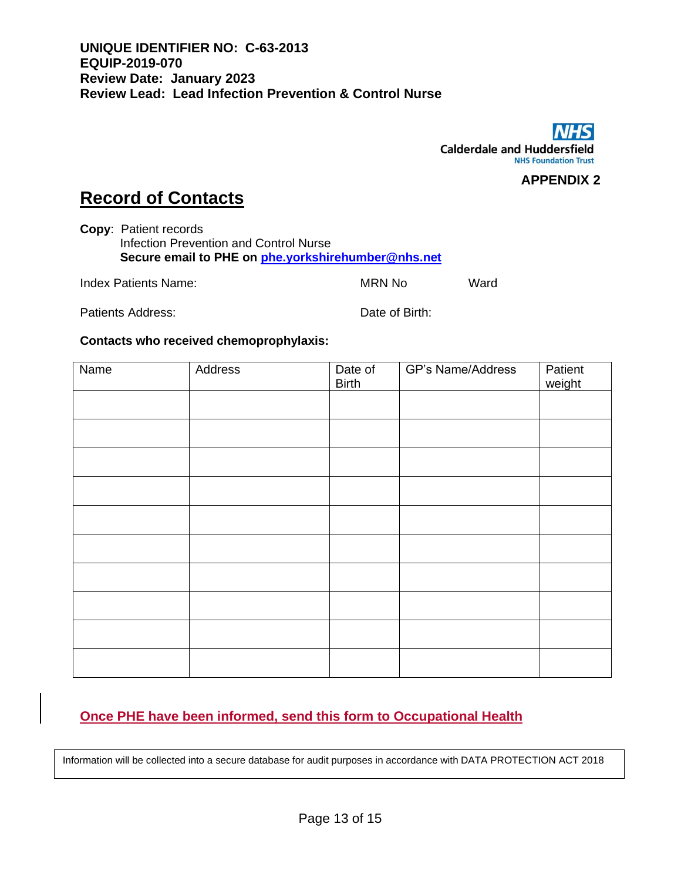

**APPENDIX 2**

# **Record of Contacts**

**Copy**: Patient records Infection Prevention and Control Nurse **Secure email to PHE on [phe.yorkshirehumber@nhs.net](mailto:phe.yorkshirehumber@nhs.net)**

Index Patients Name: MRN No Ward

Patients Address: Date of Birth:

#### **Contacts who received chemoprophylaxis:**

| Name | Address | Date of<br><b>Birth</b> | <b>GP's Name/Address</b> | Patient<br>weight |
|------|---------|-------------------------|--------------------------|-------------------|
|      |         |                         |                          |                   |
|      |         |                         |                          |                   |
|      |         |                         |                          |                   |
|      |         |                         |                          |                   |
|      |         |                         |                          |                   |
|      |         |                         |                          |                   |
|      |         |                         |                          |                   |
|      |         |                         |                          |                   |
|      |         |                         |                          |                   |
|      |         |                         |                          |                   |

## **Once PHE have been informed, send this form to Occupational Health**

Information will be collected into a secure database for audit purposes in accordance with DATA PROTECTION ACT 2018